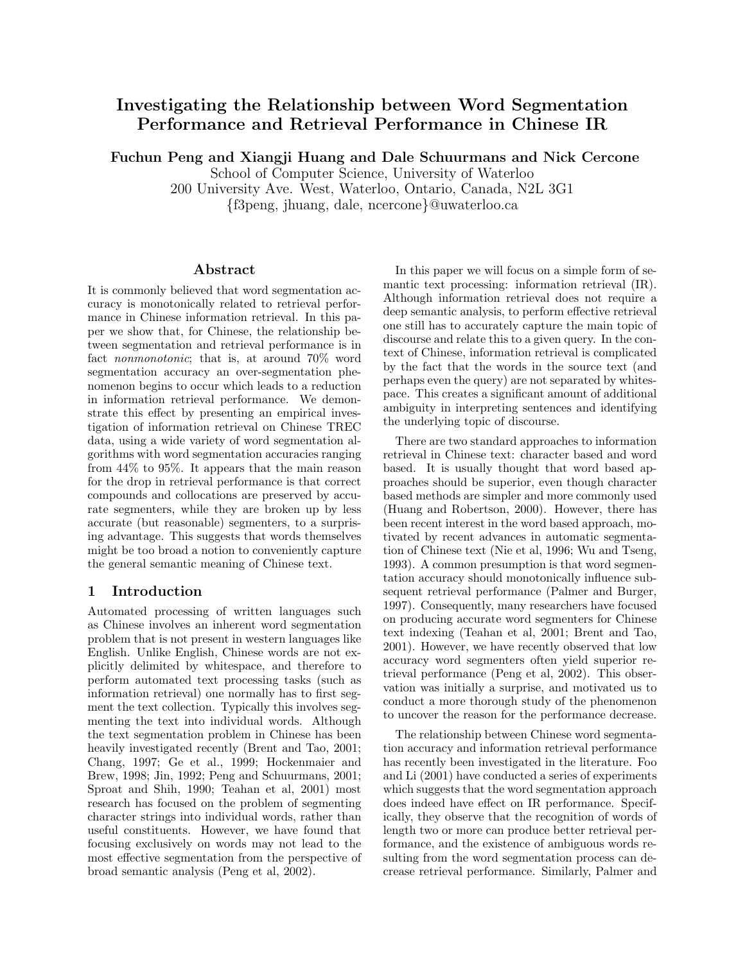# Investigating the Relationship between Word Segmentation Performance and Retrieval Performance in Chinese IR

Fuchun Peng and Xiangji Huang and Dale Schuurmans and Nick Cercone

School of Computer Science, University of Waterloo

200 University Ave. West, Waterloo, Ontario, Canada, N2L 3G1

{f3peng, jhuang, dale, ncercone}@uwaterloo.ca

## Abstract

It is commonly believed that word segmentation accuracy is monotonically related to retrieval performance in Chinese information retrieval. In this paper we show that, for Chinese, the relationship between segmentation and retrieval performance is in fact nonmonotonic; that is, at around 70% word segmentation accuracy an over-segmentation phenomenon begins to occur which leads to a reduction in information retrieval performance. We demonstrate this effect by presenting an empirical investigation of information retrieval on Chinese TREC data, using a wide variety of word segmentation algorithms with word segmentation accuracies ranging from 44% to 95%. It appears that the main reason for the drop in retrieval performance is that correct compounds and collocations are preserved by accurate segmenters, while they are broken up by less accurate (but reasonable) segmenters, to a surprising advantage. This suggests that words themselves might be too broad a notion to conveniently capture the general semantic meaning of Chinese text.

# 1 Introduction

Automated processing of written languages such as Chinese involves an inherent word segmentation problem that is not present in western languages like English. Unlike English, Chinese words are not explicitly delimited by whitespace, and therefore to perform automated text processing tasks (such as information retrieval) one normally has to first segment the text collection. Typically this involves segmenting the text into individual words. Although the text segmentation problem in Chinese has been heavily investigated recently (Brent and Tao, 2001; Chang, 1997; Ge et al., 1999; Hockenmaier and Brew, 1998; Jin, 1992; Peng and Schuurmans, 2001; Sproat and Shih, 1990; Teahan et al, 2001) most research has focused on the problem of segmenting character strings into individual words, rather than useful constituents. However, we have found that focusing exclusively on words may not lead to the most effective segmentation from the perspective of broad semantic analysis (Peng et al, 2002).

In this paper we will focus on a simple form of semantic text processing: information retrieval (IR). Although information retrieval does not require a deep semantic analysis, to perform effective retrieval one still has to accurately capture the main topic of discourse and relate this to a given query. In the context of Chinese, information retrieval is complicated by the fact that the words in the source text (and perhaps even the query) are not separated by whitespace. This creates a significant amount of additional ambiguity in interpreting sentences and identifying the underlying topic of discourse.

There are two standard approaches to information retrieval in Chinese text: character based and word based. It is usually thought that word based approaches should be superior, even though character based methods are simpler and more commonly used (Huang and Robertson, 2000). However, there has been recent interest in the word based approach, motivated by recent advances in automatic segmentation of Chinese text (Nie et al, 1996; Wu and Tseng, 1993). A common presumption is that word segmentation accuracy should monotonically influence subsequent retrieval performance (Palmer and Burger, 1997). Consequently, many researchers have focused on producing accurate word segmenters for Chinese text indexing (Teahan et al, 2001; Brent and Tao, 2001). However, we have recently observed that low accuracy word segmenters often yield superior retrieval performance (Peng et al, 2002). This observation was initially a surprise, and motivated us to conduct a more thorough study of the phenomenon to uncover the reason for the performance decrease.

The relationship between Chinese word segmentation accuracy and information retrieval performance has recently been investigated in the literature. Foo and Li (2001) have conducted a series of experiments which suggests that the word segmentation approach does indeed have effect on IR performance. Specifically, they observe that the recognition of words of length two or more can produce better retrieval performance, and the existence of ambiguous words resulting from the word segmentation process can decrease retrieval performance. Similarly, Palmer and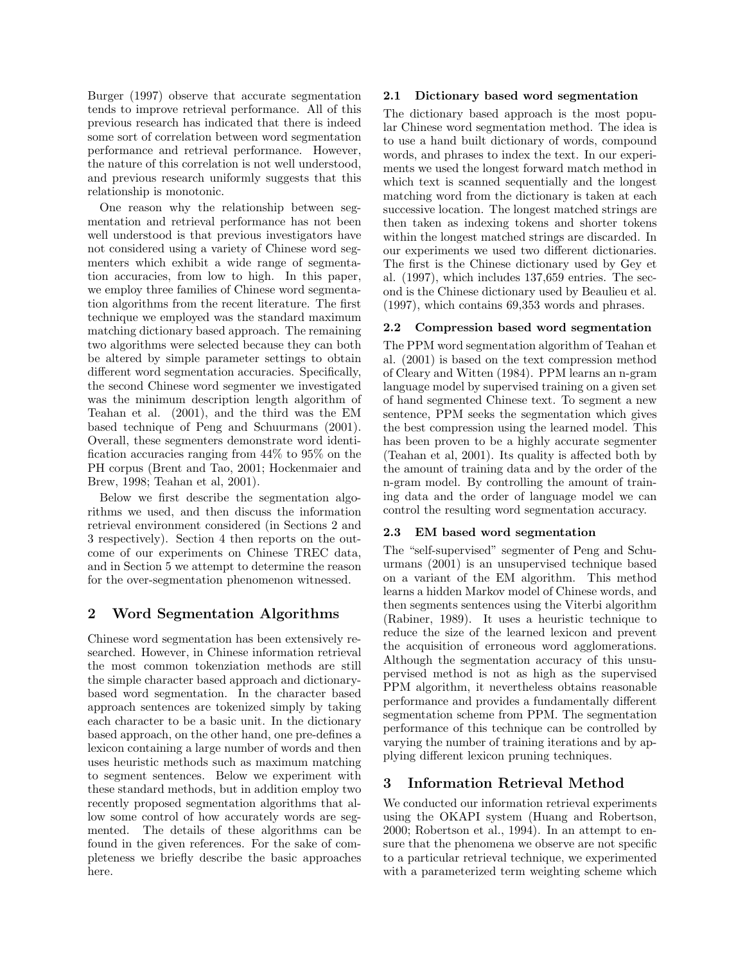Burger (1997) observe that accurate segmentation tends to improve retrieval performance. All of this previous research has indicated that there is indeed some sort of correlation between word segmentation performance and retrieval performance. However, the nature of this correlation is not well understood, and previous research uniformly suggests that this relationship is monotonic.

One reason why the relationship between segmentation and retrieval performance has not been well understood is that previous investigators have not considered using a variety of Chinese word segmenters which exhibit a wide range of segmentation accuracies, from low to high. In this paper, we employ three families of Chinese word segmentation algorithms from the recent literature. The first technique we employed was the standard maximum matching dictionary based approach. The remaining two algorithms were selected because they can both be altered by simple parameter settings to obtain different word segmentation accuracies. Specifically, the second Chinese word segmenter we investigated was the minimum description length algorithm of Teahan et al. (2001), and the third was the EM based technique of Peng and Schuurmans (2001). Overall, these segmenters demonstrate word identification accuracies ranging from 44% to 95% on the PH corpus (Brent and Tao, 2001; Hockenmaier and Brew, 1998; Teahan et al, 2001).

Below we first describe the segmentation algorithms we used, and then discuss the information retrieval environment considered (in Sections 2 and 3 respectively). Section 4 then reports on the outcome of our experiments on Chinese TREC data, and in Section 5 we attempt to determine the reason for the over-segmentation phenomenon witnessed.

# 2 Word Segmentation Algorithms

Chinese word segmentation has been extensively researched. However, in Chinese information retrieval the most common tokenziation methods are still the simple character based approach and dictionarybased word segmentation. In the character based approach sentences are tokenized simply by taking each character to be a basic unit. In the dictionary based approach, on the other hand, one pre-defines a lexicon containing a large number of words and then uses heuristic methods such as maximum matching to segment sentences. Below we experiment with these standard methods, but in addition employ two recently proposed segmentation algorithms that allow some control of how accurately words are segmented. The details of these algorithms can be found in the given references. For the sake of completeness we briefly describe the basic approaches here.

## 2.1 Dictionary based word segmentation

The dictionary based approach is the most popular Chinese word segmentation method. The idea is to use a hand built dictionary of words, compound words, and phrases to index the text. In our experiments we used the longest forward match method in which text is scanned sequentially and the longest matching word from the dictionary is taken at each successive location. The longest matched strings are then taken as indexing tokens and shorter tokens within the longest matched strings are discarded. In our experiments we used two different dictionaries. The first is the Chinese dictionary used by Gey et al. (1997), which includes 137,659 entries. The second is the Chinese dictionary used by Beaulieu et al. (1997), which contains 69,353 words and phrases.

# 2.2 Compression based word segmentation

The PPM word segmentation algorithm of Teahan et al. (2001) is based on the text compression method of Cleary and Witten (1984). PPM learns an n-gram language model by supervised training on a given set of hand segmented Chinese text. To segment a new sentence, PPM seeks the segmentation which gives the best compression using the learned model. This has been proven to be a highly accurate segmenter (Teahan et al, 2001). Its quality is affected both by the amount of training data and by the order of the n-gram model. By controlling the amount of training data and the order of language model we can control the resulting word segmentation accuracy.

## 2.3 EM based word segmentation

The "self-supervised" segmenter of Peng and Schuurmans (2001) is an unsupervised technique based on a variant of the EM algorithm. This method learns a hidden Markov model of Chinese words, and then segments sentences using the Viterbi algorithm (Rabiner, 1989). It uses a heuristic technique to reduce the size of the learned lexicon and prevent the acquisition of erroneous word agglomerations. Although the segmentation accuracy of this unsupervised method is not as high as the supervised PPM algorithm, it nevertheless obtains reasonable performance and provides a fundamentally different segmentation scheme from PPM. The segmentation performance of this technique can be controlled by varying the number of training iterations and by applying different lexicon pruning techniques.

# 3 Information Retrieval Method

We conducted our information retrieval experiments using the OKAPI system (Huang and Robertson, 2000; Robertson et al., 1994). In an attempt to ensure that the phenomena we observe are not specific to a particular retrieval technique, we experimented with a parameterized term weighting scheme which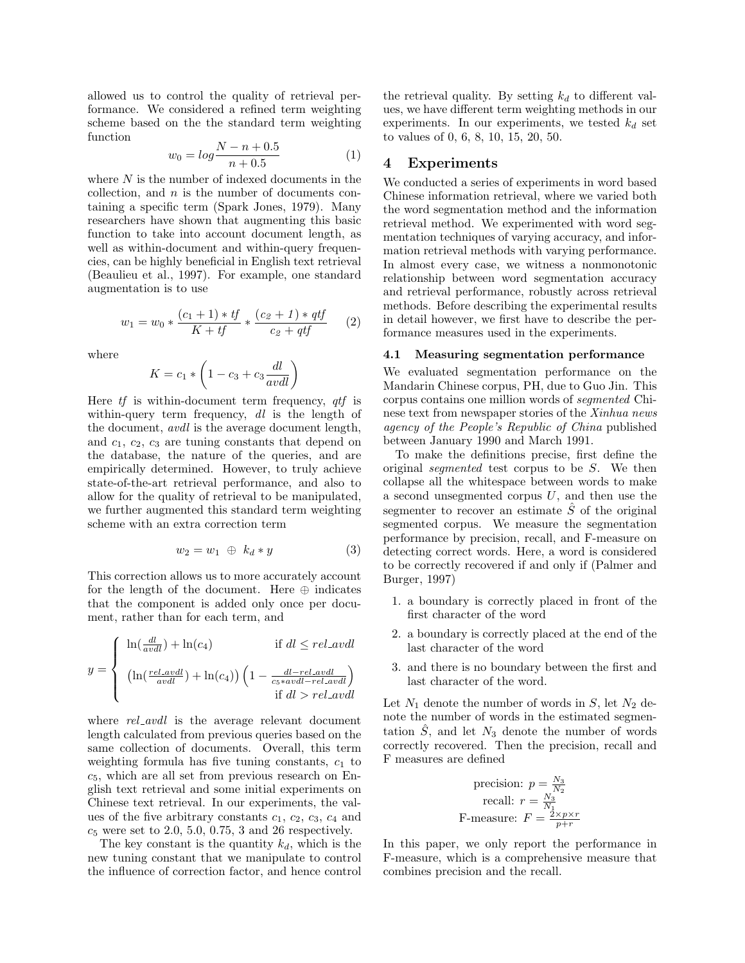allowed us to control the quality of retrieval performance. We considered a refined term weighting scheme based on the the standard term weighting function

$$
w_0 = \log \frac{N - n + 0.5}{n + 0.5} \tag{1}
$$

where  $N$  is the number of indexed documents in the collection, and  $n$  is the number of documents containing a specific term (Spark Jones, 1979). Many researchers have shown that augmenting this basic function to take into account document length, as well as within-document and within-query frequencies, can be highly beneficial in English text retrieval (Beaulieu et al., 1997). For example, one standard augmentation is to use

$$
w_1 = w_0 * \frac{(c_1 + 1) * tf}{K + tf} * \frac{(c_2 + 1) * qtf}{c_2 + qtf}
$$
 (2)

where

$$
K = c_1 * \left(1 - c_3 + c_3 \frac{dl}{avdl}\right)
$$

Here  $tf$  is within-document term frequency,  $qtf$  is within-query term frequency,  $dl$  is the length of the document, avdl is the average document length, and  $c_1, c_2, c_3$  are tuning constants that depend on the database, the nature of the queries, and are empirically determined. However, to truly achieve state-of-the-art retrieval performance, and also to allow for the quality of retrieval to be manipulated, we further augmented this standard term weighting scheme with an extra correction term

$$
w_2 = w_1 \oplus k_d * y \tag{3}
$$

This correction allows us to more accurately account for the length of the document. Here  $\oplus$  indicates that the component is added only once per document, rather than for each term, and

$$
y = \begin{cases} \ln(\frac{dl}{avdl}) + \ln(c_4) & \text{if } dl \le rel \text{.} \text{and} \\ \left(\ln(\frac{rel \text{.}avdl}{avdl}) + \ln(c_4)\right) \left(1 - \frac{dl - rel \text{.}avdl}{c_5 * avdl - rel \text{.}avdl}\right) \\ \text{if } dl > rel \text{.} \text{and} \end{cases}
$$

where  $rel\_avdl$  is the average relevant document length calculated from previous queries based on the same collection of documents. Overall, this term weighting formula has five tuning constants,  $c_1$  to  $c_5$ , which are all set from previous research on English text retrieval and some initial experiments on Chinese text retrieval. In our experiments, the values of the five arbitrary constants  $c_1, c_2, c_3, c_4$  and  $c_5$  were set to 2.0, 5.0, 0.75, 3 and 26 respectively.

The key constant is the quantity  $k_d$ , which is the new tuning constant that we manipulate to control the influence of correction factor, and hence control the retrieval quality. By setting  $k_d$  to different values, we have different term weighting methods in our experiments. In our experiments, we tested  $k_d$  set to values of 0, 6, 8, 10, 15, 20, 50.

## 4 Experiments

We conducted a series of experiments in word based Chinese information retrieval, where we varied both the word segmentation method and the information retrieval method. We experimented with word segmentation techniques of varying accuracy, and information retrieval methods with varying performance. In almost every case, we witness a nonmonotonic relationship between word segmentation accuracy and retrieval performance, robustly across retrieval methods. Before describing the experimental results in detail however, we first have to describe the performance measures used in the experiments.

#### 4.1 Measuring segmentation performance

We evaluated segmentation performance on the Mandarin Chinese corpus, PH, due to Guo Jin. This corpus contains one million words of segmented Chinese text from newspaper stories of the Xinhua news agency of the People's Republic of China published between January 1990 and March 1991.

To make the definitions precise, first define the original segmented test corpus to be S. We then collapse all the whitespace between words to make a second unsegmented corpus  $U$ , and then use the segmenter to recover an estimate  $\hat{S}$  of the original segmented corpus. We measure the segmentation performance by precision, recall, and F-measure on detecting correct words. Here, a word is considered to be correctly recovered if and only if (Palmer and Burger, 1997)

- 1. a boundary is correctly placed in front of the first character of the word
- 2. a boundary is correctly placed at the end of the last character of the word
- 3. and there is no boundary between the first and last character of the word.

Let  $N_1$  denote the number of words in  $S$ , let  $N_2$  denote the number of words in the estimated segmentation  $\tilde{S}$ , and let  $N_3$  denote the number of words correctly recovered. Then the precision, recall and F measures are defined

precision: 
$$
p = \frac{N_3}{N_2}
$$
  
recall:  $r = \frac{N_3}{N_1}$   
F-measure:  $F = \frac{2 \times p \times r}{p+r}$ 

In this paper, we only report the performance in F-measure, which is a comprehensive measure that combines precision and the recall.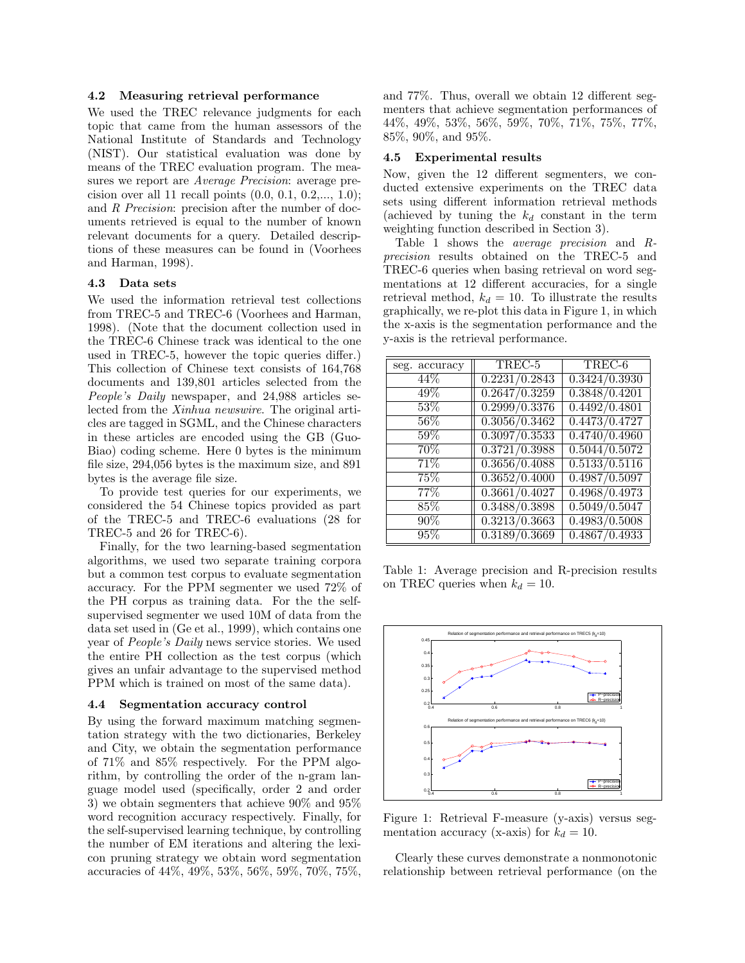#### 4.2 Measuring retrieval performance

We used the TREC relevance judgments for each topic that came from the human assessors of the National Institute of Standards and Technology (NIST). Our statistical evaluation was done by means of the TREC evaluation program. The measures we report are Average Precision: average precision over all 11 recall points (0.0, 0.1, 0.2,..., 1.0); and R Precision: precision after the number of documents retrieved is equal to the number of known relevant documents for a query. Detailed descriptions of these measures can be found in (Voorhees and Harman, 1998).

#### 4.3 Data sets

We used the information retrieval test collections from TREC-5 and TREC-6 (Voorhees and Harman, 1998). (Note that the document collection used in the TREC-6 Chinese track was identical to the one used in TREC-5, however the topic queries differ.) This collection of Chinese text consists of 164,768 documents and 139,801 articles selected from the People's Daily newspaper, and 24,988 articles selected from the Xinhua newswire. The original articles are tagged in SGML, and the Chinese characters in these articles are encoded using the GB (Guo-Biao) coding scheme. Here 0 bytes is the minimum file size, 294,056 bytes is the maximum size, and 891 bytes is the average file size.

To provide test queries for our experiments, we considered the 54 Chinese topics provided as part of the TREC-5 and TREC-6 evaluations (28 for TREC-5 and 26 for TREC-6).

Finally, for the two learning-based segmentation algorithms, we used two separate training corpora but a common test corpus to evaluate segmentation accuracy. For the PPM segmenter we used 72% of the PH corpus as training data. For the the selfsupervised segmenter we used 10M of data from the data set used in (Ge et al., 1999), which contains one year of People's Daily news service stories. We used the entire PH collection as the test corpus (which gives an unfair advantage to the supervised method PPM which is trained on most of the same data).

#### 4.4 Segmentation accuracy control

By using the forward maximum matching segmentation strategy with the two dictionaries, Berkeley and City, we obtain the segmentation performance of 71% and 85% respectively. For the PPM algorithm, by controlling the order of the n-gram language model used (specifically, order 2 and order 3) we obtain segmenters that achieve 90% and 95% word recognition accuracy respectively. Finally, for the self-supervised learning technique, by controlling the number of EM iterations and altering the lexicon pruning strategy we obtain word segmentation accuracies of 44%, 49%, 53%, 56%, 59%, 70%, 75%, and 77%. Thus, overall we obtain 12 different segmenters that achieve segmentation performances of 44%, 49%, 53%, 56%, 59%, 70%, 71%, 75%, 77%, 85%, 90%, and 95%.

#### 4.5 Experimental results

Now, given the 12 different segmenters, we conducted extensive experiments on the TREC data sets using different information retrieval methods (achieved by tuning the  $k_d$  constant in the term weighting function described in Section 3).

Table 1 shows the average precision and Rprecision results obtained on the TREC-5 and TREC-6 queries when basing retrieval on word segmentations at 12 different accuracies, for a single retrieval method,  $k_d = 10$ . To illustrate the results graphically, we re-plot this data in Figure 1, in which the x-axis is the segmentation performance and the y-axis is the retrieval performance.

| seg. accuracy     | TREC-5        | TREC-6                     |
|-------------------|---------------|----------------------------|
| 44%               | 0.2231/0.2843 | $\overline{0.3424/0.3930}$ |
| $\overline{49}\%$ | 0.2647/0.3259 | 0.3848/0.4201              |
| 53%               | 0.2999/0.3376 | $\overline{0.4492/0.4801}$ |
| $56\%$            | 0.3056/0.3462 | 0.4473/0.4727              |
| $59\%$            | 0.3097/0.3533 | $\overline{0.4740/0.4960}$ |
| 70%               | 0.3721/0.3988 | 0.5044/0.5072              |
| 71\%              | 0.3656/0.4088 | $\overline{0.5133/0.5116}$ |
| 75%               | 0.3652/0.4000 | 0.4987/0.5097              |
| $77\%$            | 0.3661/0.4027 | 0.4968/0.4973              |
| 85%               | 0.3488/0.3898 | 0.5049/0.5047              |
| 90%               | 0.3213/0.3663 | $\overline{0.4983/0.5008}$ |
| 95%               | 0.3189/0.3669 | 0.4867/0.4933              |

Table 1: Average precision and R-precision results on TREC queries when  $k_d = 10$ .



Figure 1: Retrieval F-measure (y-axis) versus segmentation accuracy (x-axis) for  $k_d = 10$ .

Clearly these curves demonstrate a nonmonotonic relationship between retrieval performance (on the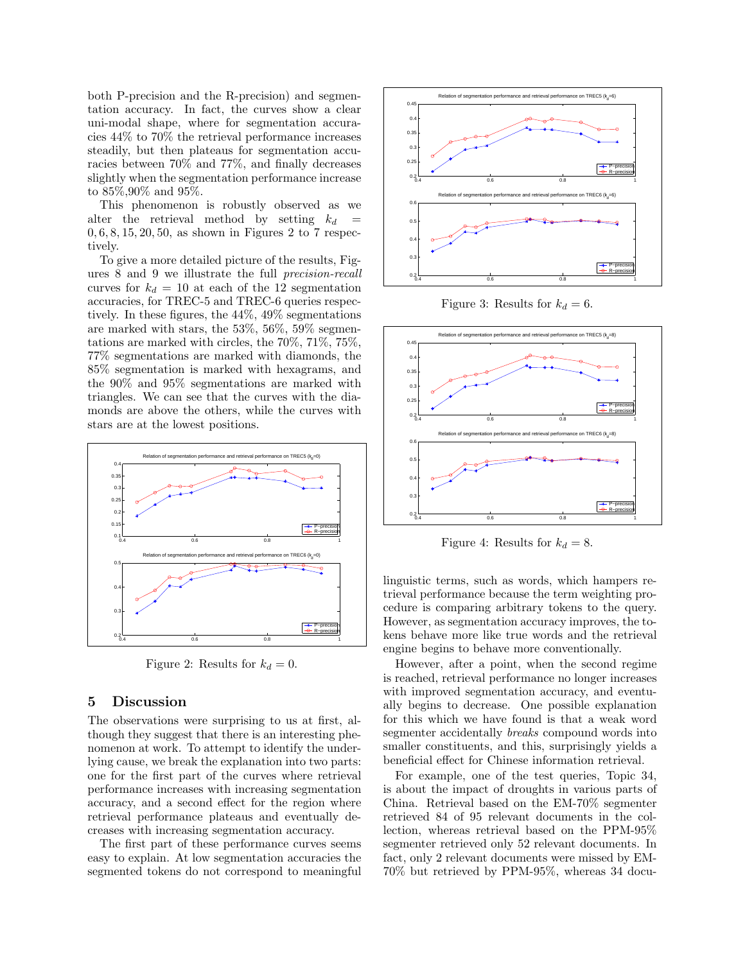both P-precision and the R-precision) and segmentation accuracy. In fact, the curves show a clear uni-modal shape, where for segmentation accuracies 44% to 70% the retrieval performance increases steadily, but then plateaus for segmentation accuracies between 70% and 77%, and finally decreases slightly when the segmentation performance increase to 85%,90% and 95%.

This phenomenon is robustly observed as we alter the retrieval method by setting  $k_d$  $0, 6, 8, 15, 20, 50,$  as shown in Figures 2 to 7 respectively.

To give a more detailed picture of the results, Figures 8 and 9 we illustrate the full precision-recall curves for  $k_d = 10$  at each of the 12 segmentation accuracies, for TREC-5 and TREC-6 queries respectively. In these figures, the 44%, 49% segmentations are marked with stars, the 53%, 56%, 59% segmentations are marked with circles, the 70%, 71%, 75%, 77% segmentations are marked with diamonds, the 85% segmentation is marked with hexagrams, and the 90% and 95% segmentations are marked with triangles. We can see that the curves with the diamonds are above the others, while the curves with stars are at the lowest positions.



Figure 2: Results for  $k_d = 0$ .

# 5 Discussion

The observations were surprising to us at first, although they suggest that there is an interesting phenomenon at work. To attempt to identify the underlying cause, we break the explanation into two parts: one for the first part of the curves where retrieval performance increases with increasing segmentation accuracy, and a second effect for the region where retrieval performance plateaus and eventually decreases with increasing segmentation accuracy.

The first part of these performance curves seems easy to explain. At low segmentation accuracies the segmented tokens do not correspond to meaningful



Figure 3: Results for  $k_d = 6$ .



Figure 4: Results for  $k_d = 8$ .

linguistic terms, such as words, which hampers retrieval performance because the term weighting procedure is comparing arbitrary tokens to the query. However, as segmentation accuracy improves, the tokens behave more like true words and the retrieval engine begins to behave more conventionally.

However, after a point, when the second regime is reached, retrieval performance no longer increases with improved segmentation accuracy, and eventually begins to decrease. One possible explanation for this which we have found is that a weak word segmenter accidentally breaks compound words into smaller constituents, and this, surprisingly yields a beneficial effect for Chinese information retrieval.

For example, one of the test queries, Topic 34, is about the impact of droughts in various parts of China. Retrieval based on the EM-70% segmenter retrieved 84 of 95 relevant documents in the collection, whereas retrieval based on the PPM-95% segmenter retrieved only 52 relevant documents. In fact, only 2 relevant documents were missed by EM-70% but retrieved by PPM-95%, whereas 34 docu-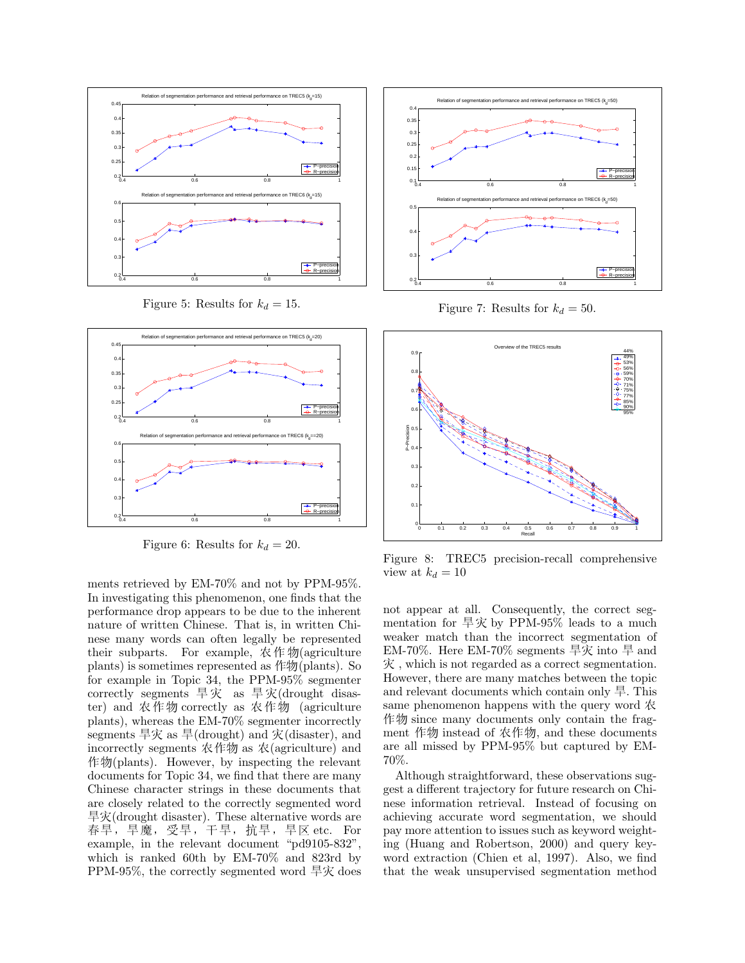

Figure 5: Results for  $k_d = 15$ .



Figure 6: Results for  $k_d = 20$ .

ments retrieved by EM-70% and not by PPM-95%. In investigating this phenomenon, one finds that the performance drop appears to be due to the inherent nature of written Chinese. That is, in written Chinese many words can often legally be represented their subparts. For example,  $\mathcal R$   $\not\models \mathcal W$  (agriculture plants) is sometimes represented as  $\not\models\psi$ (plants). So for example in Topic 34, the PPM-95% segmenter correctly segments  $\frac{1}{\sqrt{2}}\bar{x}$  as  $\frac{1}{\sqrt{2}}\bar{x}$  (drought disaster) and 农作物 correctly as 农作物 (agriculture plants), whereas the EM-70% segmenter incorrectly segments 旱灾 as 旱(drought) and  $\bar{\mathcal{K}}$ (disaster), and incorrectly segments  $\mathcal{R}$  ( $\mathcal{H}$  as  $\mathcal{R}$  (agriculture) and  $#$   $\mathcal{P}($  plants). However, by inspecting the relevant documents for Topic 34, we find that there are many Chinese character strings in these documents that are closely related to the correctly segmented word  $\frac{1}{2}$   $\mathcal{R}$  (drought disaster). These alternative words are 春旱, 旱魔, 受旱, 干旱, 抗旱, 旱区 etc. For example, in the relevant document "pd9105-832", which is ranked 60th by EM-70% and 823rd by PPM-95%, the correctly segmented word  $\frac{1}{2}$  does



Figure 7: Results for  $k_d = 50$ .



Figure 8: TREC5 precision-recall comprehensive view at  $k_d = 10$ 

not appear at all. Consequently, the correct segmentation for  $\frac{1}{2}$   $\chi$  by PPM-95% leads to a much weaker match than the incorrect segmentation of EM-70%. Here EM-70% segments  $\frac{1}{\sqrt{7}}$  into  $\frac{1}{\sqrt{7}}$  and  $\mathcal{R}$ , which is not regarded as a correct segmentation. However, there are many matches between the topic and relevant documents which contain only  $\#$ . This same phenomenon happens with the query word  $\mathcal R$  $\n$   $\n$   $\n$   $\n$   $\n$   $\n$   $\n$   $\mathbb{R}$  since many documents only contain the fragment 作物 instead of 农作物, and these documents are all missed by PPM-95% but captured by EM-70%.

Although straightforward, these observations suggest a different trajectory for future research on Chinese information retrieval. Instead of focusing on achieving accurate word segmentation, we should pay more attention to issues such as keyword weighting (Huang and Robertson, 2000) and query keyword extraction (Chien et al, 1997). Also, we find that the weak unsupervised segmentation method